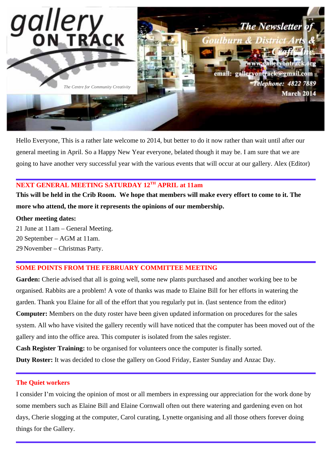

Hello Everyone, This is a rather late welcome to 2014, but better to do it now rather than wait until after our general meeting in April. So a Happy New Year everyone, belated though it may be. I am sure that we are going to have another very successful year with the various events that will occur at our gallery. Alex (Editor)

# **NEXT GENERAL MEETING SATURDAY 12TH APRIL at 11am**

**This will be held in the Crib Room. We hope that members will make every effort to come to it. The more who attend, the more it represents the opinions of our membership.** 

#### **Other meeting dates:**

21 June at 11am – General Meeting.

20 September – AGM at 11am.

29 November – Christmas Party.

## **SOME POINTS FROM THE FEBRUARY COMMITTEE MEETING**

**Garden:** Cherie advised that all is going well, some new plants purchased and another working bee to be organised. Rabbits are a problem! A vote of thanks was made to Elaine Bill for her efforts in watering the garden. Thank you Elaine for all of the effort that you regularly put in. (last sentence from the editor) **Computer:** Members on the duty roster have been given updated information on procedures for the sales system. All who have visited the gallery recently will have noticed that the computer has been moved out of the gallery and into the office area. This computer is isolated from the sales register.

**Cash Register Training:** to be organised for volunteers once the computer is finally sorted.

**Duty Roster:** It was decided to close the gallery on Good Friday, Easter Sunday and Anzac Day.

#### **The Quiet workers**

I consider I'm voicing the opinion of most or all members in expressing our appreciation for the work done by some members such as Elaine Bill and Elaine Cornwall often out there watering and gardening even on hot days, Cherie slogging at the computer, Carol curating, Lynette organising and all those others forever doing things for the Gallery.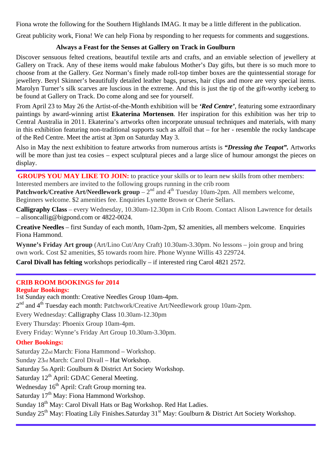Fiona wrote the following for the Southern Highlands IMAG. It may be a little different in the publication.

Great publicity work, Fiona! We can help Fiona by responding to her requests for comments and suggestions.

# **Always a Feast for the Senses at Gallery on Track in Goulburn**

Discover sensuous felted creations, beautiful textile arts and crafts, and an enviable selection of jewellery at Gallery on Track. Any of these items would make fabulous Mother's Day gifts, but there is so much more to choose from at the Gallery. Gez Norman's finely made roll-top timber boxes are the quintessential storage for jewellery. Beryl Skinner's beautifully detailed leather bags, purses, hair clips and more are very special items. Marolyn Turner's silk scarves are luscious in the extreme. And this is just the tip of the gift-worthy iceberg to be found at Gallery on Track. Do come along and see for yourself.

From April 23 to May 26 the Artist-of-the-Month exhibition will be *'Red Centre'*, featuring some extraordinary paintings by award-winning artist **Ekaterina Mortensen**. Her inspiration for this exhibition was her trip to Central Australia in 2011. Ekaterina's artworks often incorporate unusual techniques and materials, with many in this exhibition featuring non-traditional supports such as alfoil that – for her - resemble the rocky landscape of the Red Centre. Meet the artist at 3pm on Saturday May 3.

Also in May the next exhibition to feature artworks from numerous artists is *"Dressing the Teapot".* Artworks will be more than just tea cosies – expect sculptural pieces and a large slice of humour amongst the pieces on display.

**GROUPS YOU MAY LIKE TO JOIN:** to practice your skills or to learn new skills from other members: Interested members are invited to the following groups running in the crib room

**Patchwork/Creative Art/Needlework group** –  $2<sup>nd</sup>$  and  $4<sup>th</sup>$  Tuesday 10am-2pm. All members welcome, Beginners welcome. \$2 amenities fee. Enquiries Lynette Brown or Cherie Sellars.

**Calligraphy Class** – every Wednesday, 10.30am-12.30pm in Crib Room. Contact Alison Lawrence for details – alisoncallig@bigpond.com or 4822-0024.

**Creative Needles** – first Sunday of each month, 10am-2pm, \$2 amenities, all members welcome. Enquiries Fiona Hammond.

**Wynne's Friday Art group** (Art/Lino Cut/Any Craft) 10.30am-3.30pm. No lessons – join group and bring own work. Cost \$2 amenities, \$5 towards room hire. Phone Wynne Willis 43 229724.

**Carol Divall has felting** workshops periodically – if interested ring Carol 4821 2572.

# **CRIB ROOM BOOKINGS for 2014**

**Regular Bookings:**  1st Sunday each month: Creative Needles Group 10am-4pm. 2<sup>nd</sup> and 4<sup>th</sup> Tuesday each month: Patchwork/Creative Art/Needlework group 10am-2pm. Every Wednesday: Calligraphy Class 10.30am-12.30pm Every Thursday: Phoenix Group 10am-4pm. Every Friday: Wynne's Friday Art Group 10.30am-3.30pm. **Other Bookings:** 

Saturday 22nd March: Fiona Hammond – Workshop.

Sunday 23rd March: Carol Divall – Hat Workshop.

Saturday 5th April: Goulburn & District Art Society Workshop.

Saturday  $12<sup>th</sup>$  April: GDAC General Meeting.

Wednesday 16<sup>th</sup> April: Craft Group morning tea.

Saturday  $17<sup>th</sup>$  May: Fiona Hammond Workshop.

Sunday 18<sup>th</sup> May: Carol Divall Hats or Bag Workshop. Red Hat Ladies.

Sunday 25<sup>th</sup> May: Floating Lily Finishes. Saturday 31<sup>st</sup> May: Goulburn & District Art Society Workshop.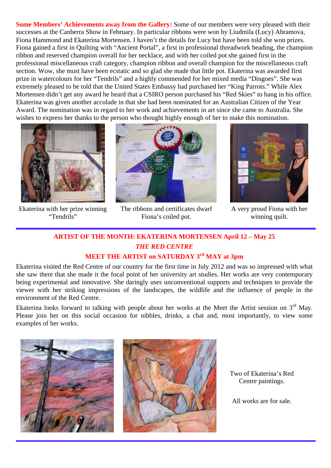**Some Members' Achievements away from the Gallery:** Some of our members were very pleased with their successes at the Canberra Show in February. In particular ribbons were won by Liudmila (Lucy) Abramova, Fiona Hammond and Ekaterina Mortensen. I haven't the details for Lucy but have been told she won prizes. Fiona gained a first in Quilting with "Ancient Portal", a first in professional threadwork beading, the champion ribbon and reserved champion overall for her necklace, and with her coiled pot she gained first in the professional miscellaneous craft category, champion ribbon and overall champion for the miscellaneous craft section. Wow, she must have been ecstatic and so glad she made that little pot. Ekaterina was awarded first prize in watercolours for her "Tendrils" and a highly commended for her mixed media "Dingoes". She was extremely pleased to be told that the United States Embassy had purchased her "King Parrots." While Alex Mortensen didn't get any award he heard that a CSIRO person purchased his "Red Skies" to hang in his office. Ekaterina was given another accolade in that she had been nominated for an Australian Citizen of the Year Award. The nomination was in regard to her work and achievements in art since she came to Australia. She wishes to express her thanks to the person who thought highly enough of her to make this nomination.



Ekaterina with her prize winning "Tendrils"



The ribbons and certificates dwarf Fiona's coiled pot.



A very proud Fiona with her winning quilt.

# **ARTIST OF THE MONTH: EKATERINA MORTENSEN April 12 – May 25**  *THE RED CENTRE*

# **MEET THE ARTIST on SATURDAY 3rd MAY at 3pm**

Ekaterina visited the Red Centre of our country for the first time in July 2012 and was so impressed with what she saw there that she made it the focal point of her university art studies. Her works are very contemporary being experimental and innovative. She daringly uses unconventional supports and techniques to provide the viewer with her striking impressions of the landscapes, the wildlife and the influence of people in the environment of the Red Centre.

Ekaterina looks forward to talking with people about her works at the Meet the Artist session on  $3<sup>rd</sup>$  May. Please join her on this social occasion for nibbles, drinks, a chat and, most importantly, to view some examples of her works.





Two of Ekaterina's Red Centre paintings.

All works are for sale.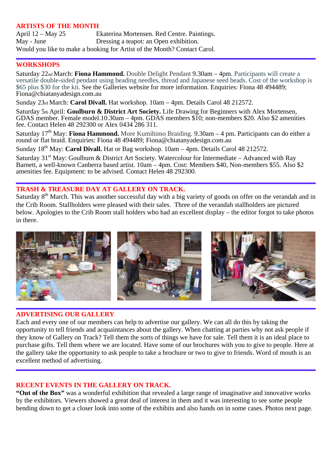## **ARTISTS OF THE MONTH**

April 12 – May 25 Ekaterina Mortensen. Red Centre. Paintings. May - June Dressing a teapot: an Open exhibition. Would you like to make a booking for Artist of the Month? Contact Carol.

#### **WORKSHOPS**

Saturday 22nd March: **Fiona Hammond.** Double Delight Pendant 9.30am – 4pm. Participants will create a versatile double-sided pendant using beading needles, thread and Japanese seed beads. Cost of the workshop is \$65 plus \$30 for the kit. See the Galleries website for more information. Enquiries: Fiona 48 494489; Fiona@chiatanyadesign.com.au

Sunday 23rd March: **Carol Divall.** Hat workshop. 10am – 4pm. Details Carol 48 212572.

Saturday 5th April: **Goulburn & District Art Society.** Life Drawing for Beginners with Alex Mortensen, GDAS member. Female model.10.30am – 4pm. GDAS members \$10; non-members \$20. Also \$2 amenities fee. Contact Helen 48 292300 or Alex 0434 286 311.

Saturday 17<sup>th</sup> May: **Fiona Hammond.** More Kumihimo Braiding. 9.30am – 4 pm. Participants can do either a round or flat braid. Enquiries: Fiona 48 494489; Fiona@chiatanyadesign.com.au

Sunday 18<sup>th</sup> May: **Carol Divall.** Hat or Bag workshop. 10am – 4pm. Details Carol 48 212572.

Saturday 31<sup>st</sup> May: Goulburn & District Art Society. Watercolour for Intermediate – Advanced with Ray Barnett, a well-known Canberra based artist. 10am – 4pm. Cost: Members \$40, Non-members \$55. Also \$2 amenities fee. Equipment: to be advised. Contact Helen 48 292300.

# **TRASH & TREASURE DAY AT GALLERY ON TRACK.**

Saturday 8<sup>th</sup> March. This was another successful day with a big variety of goods on offer on the verandah and in the Crib Room. Stallholders were pleased with their sales. Three of the verandah stallholders are pictured below. Apologies to the Crib Room stall holders who had an excellent display – the editor forgot to take photos in there.



## **ADVERTISING OUR GALLERY**

Each and every one of our members can help to advertise our gallery. We can all do this by taking the opportunity to tell friends and acquaintances about the gallery. When chatting at parties why not ask people if they know of Gallery on Track? Tell them the sorts of things we have for sale. Tell them it is an ideal place to purchase gifts. Tell them where we are located. Have some of our brochures with you to give to people. Here at the gallery take the opportunity to ask people to take a brochure or two to give to friends. Word of mouth is an excellent method of advertising.

#### **RECENT EVENTS IN THE GALLERY ON TRACK.**

**"Out of the Box"** was a wonderful exhibition that revealed a large range of imaginative and innovative works by the exhibitors. Viewers showed a great deal of interest in them and it was interesting to see some people bending down to get a closer look into some of the exhibits and also hands on in some cases. Photos next page.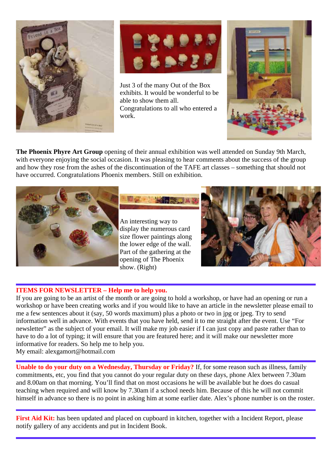



Just 3 of the many Out of the Box exhibits. It would be wonderful to be able to show them all. Congratulations to all who entered a work.



**The Phoenix Phyre Art Group** opening of their annual exhibition was well attended on Sunday 9th March, with everyone enjoying the social occasion. It was pleasing to hear comments about the success of the group and how they rose from the ashes of the discontinuation of the TAFE art classes – something that should not have occurred. Congratulations Phoenix members. Still on exhibition.



An interesting way to display the numerous card size flower paintings along the lower edge of the wall. Part of the gathering at the opening of The Phoenix show. (Right)



## **ITEMS FOR NEWSLETTER – Help me to help you.**

If you are going to be an artist of the month or are going to hold a workshop, or have had an opening or run a workshop or have been creating works and if you would like to have an article in the newsletter please email to me a few sentences about it (say, 50 words maximum) plus a photo or two in jpg or jpeg. Try to send information well in advance. With events that you have held, send it to me straight after the event. Use "For newsletter" as the subject of your email. It will make my job easier if I can just copy and paste rather than to have to do a lot of typing; it will ensure that you are featured here; and it will make our newsletter more informative for readers. So help me to help you.

My email: alexgamort@hotmail.com

**Unable to do your duty on a Wednesday, Thursday or Friday?** If, for some reason such as illness, family commitments, etc, you find that you cannot do your regular duty on these days, phone Alex between 7.30am and 8.00am on that morning. You'll find that on most occasions he will be available but he does do casual teaching when required and will know by 7.30am if a school needs him. Because of this he will not commit himself in advance so there is no point in asking him at some earlier date. Alex's phone number is on the roster.

First Aid Kit: has been updated and placed on cupboard in kitchen, together with a Incident Report, please notify gallery of any accidents and put in Incident Book.